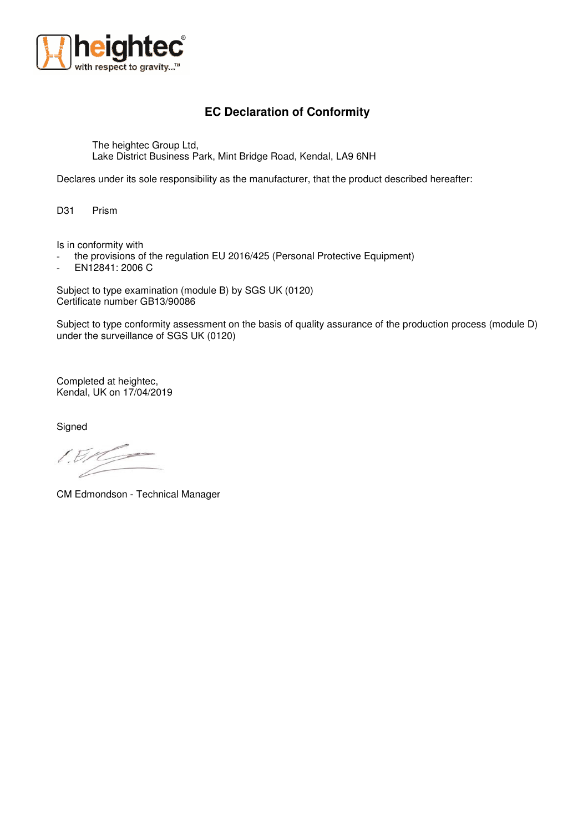

## **EC Declaration of Conformity**

The heightec Group Ltd, Lake District Business Park, Mint Bridge Road, Kendal, LA9 6NH

Declares under its sole responsibility as the manufacturer, that the product described hereafter:

D31 Prism

Is in conformity with

- the provisions of the regulation EU 2016/425 (Personal Protective Equipment)

- EN12841: 2006 C

Subject to type examination (module B) by SGS UK (0120) Certificate number GB13/90086

Subject to type conformity assessment on the basis of quality assurance of the production process (module D) under the surveillance of SGS UK (0120)

Completed at heightec, Kendal, UK on 17/04/2019

**Signed** 

 $/B$ 

CM Edmondson - Technical Manager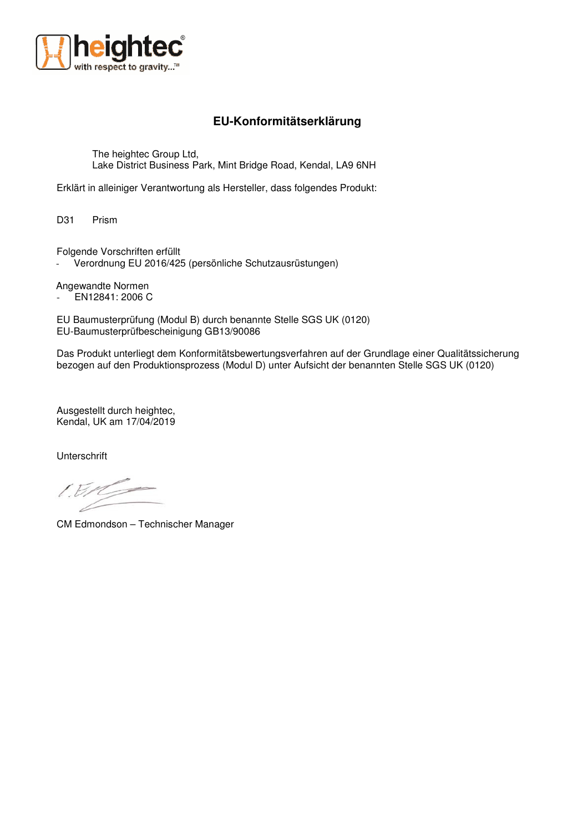

## **EU-Konformitätserklärung**

The heightec Group Ltd, Lake District Business Park, Mint Bridge Road, Kendal, LA9 6NH

Erklärt in alleiniger Verantwortung als Hersteller, dass folgendes Produkt:

D31 Prism

Folgende Vorschriften erfüllt

Verordnung EU 2016/425 (persönliche Schutzausrüstungen)

Angewandte Normen

- EN12841: 2006 C

EU Baumusterprüfung (Modul B) durch benannte Stelle SGS UK (0120) EU-Baumusterprüfbescheinigung GB13/90086

Das Produkt unterliegt dem Konformitätsbewertungsverfahren auf der Grundlage einer Qualitätssicherung bezogen auf den Produktionsprozess (Modul D) unter Aufsicht der benannten Stelle SGS UK (0120)

Ausgestellt durch heightec, Kendal, UK am 17/04/2019

Unterschrift

 $15/12$ 

CM Edmondson – Technischer Manager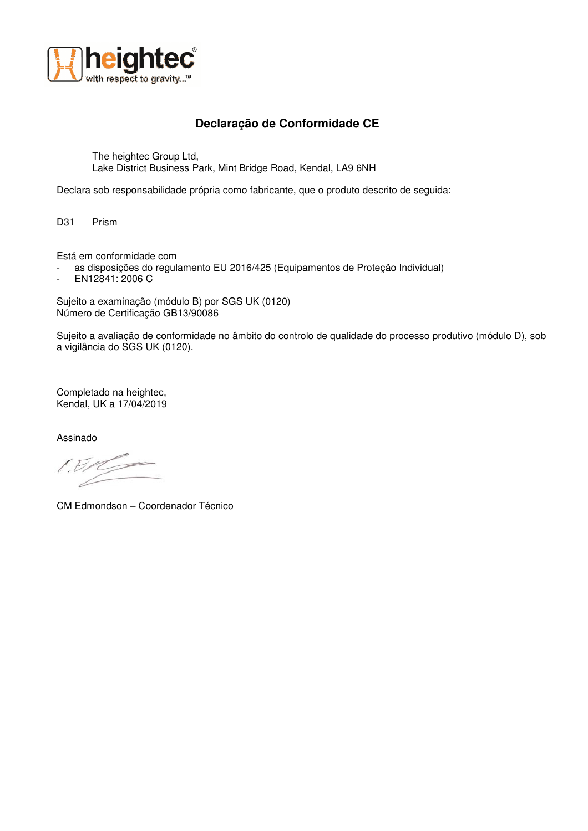

## **Declaração de Conformidade CE**

The heightec Group Ltd, Lake District Business Park, Mint Bridge Road, Kendal, LA9 6NH

Declara sob responsabilidade própria como fabricante, que o produto descrito de seguida:

D31 Prism

Está em conformidade com

- as disposições do regulamento EU 2016/425 (Equipamentos de Proteção Individual)
- EN12841: 2006 C

Sujeito a examinação (módulo B) por SGS UK (0120) Número de Certificação GB13/90086

Sujeito a avaliação de conformidade no âmbito do controlo de qualidade do processo produtivo (módulo D), sob a vigilância do SGS UK (0120).

Completado na heightec, Kendal, UK a 17/04/2019

Assinado

CM Edmondson – Coordenador Técnico